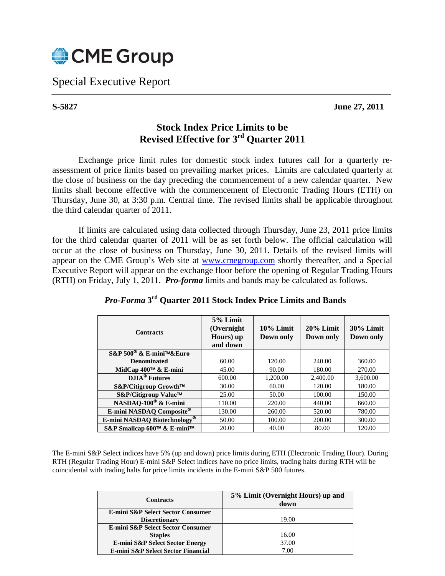

Special Executive Report

**S-5827 June 27, 2011** 

## **Stock Index Price Limits to be Revised Effective for 3rd Quarter 2011**

Exchange price limit rules for domestic stock index futures call for a quarterly reassessment of price limits based on prevailing market prices. Limits are calculated quarterly at the close of business on the day preceding the commencement of a new calendar quarter. New limits shall become effective with the commencement of Electronic Trading Hours (ETH) on Thursday, June 30, at 3:30 p.m. Central time. The revised limits shall be applicable throughout the third calendar quarter of 2011.

If limits are calculated using data collected through Thursday, June 23, 2011 price limits for the third calendar quarter of 2011 will be as set forth below. The official calculation will occur at the close of business on Thursday, June 30, 2011. Details of the revised limits will appear on the CME Group's Web site at www.cmegroup.com shortly thereafter, and a Special Executive Report will appear on the exchange floor before the opening of Regular Trading Hours (RTH) on Friday, July 1, 2011. *Pro-forma* limits and bands may be calculated as follows.

| <b>Contracts</b>                    | 5% Limit<br>(Overnight)<br>Hours) up<br>and down | $10\%$ Limit<br>Down only | $20\%$ Limit<br>Down only | 30% Limit<br>Down only |
|-------------------------------------|--------------------------------------------------|---------------------------|---------------------------|------------------------|
| S&P 500 <sup>®</sup> & E-mini™&Euro |                                                  |                           |                           |                        |
| <b>Denominated</b>                  | 60.00                                            | 120.00                    | 240.00                    | 360.00                 |
| MidCap 400™ & E-mini                | 45.00                                            | 90.00                     | 180.00                    | 270.00                 |
| <b>DJIA<sup>®</sup></b> Futures     | 600.00                                           | 1,200.00                  | 2,400.00                  | 3,600.00               |
| S&P/Citigroup Growth™               | 30.00                                            | 60.00                     | 120.00                    | 180.00                 |
| S&P/Citigroup Value™                | 25.00                                            | 50.00                     | 100.00                    | 150.00                 |
| NASDAQ-100 <sup>®</sup> & E-mini    | 110.00                                           | 220.00                    | 440.00                    | 660.00                 |
| E-mini NASDAQ Composite®            | 130.00                                           | 260.00                    | 520.00                    | 780.00                 |
| E-mini NASDAQ Biotechnology®        | 50.00                                            | 100.00                    | 200.00                    | 300.00                 |
| S&P Smallcap 600™ & E-mini™         | 20.00                                            | 40.00                     | 80.00                     | 120.00                 |

## *Pro-Forma* **3rd Quarter 2011 Stock Index Price Limits and Bands**

The E-mini S&P Select indices have 5% (up and down) price limits during ETH (Electronic Trading Hour). During RTH (Regular Trading Hour) E-mini S&P Select indices have no price limits, trading halts during RTH will be coincidental with trading halts for price limits incidents in the E-mini S&P 500 futures.

| <b>Contracts</b>                           | 5% Limit (Overnight Hours) up and<br>down |
|--------------------------------------------|-------------------------------------------|
| E-mini S&P Select Sector Consumer          |                                           |
| <b>Discretionary</b>                       | 19.00                                     |
| E-mini S&P Select Sector Consumer          |                                           |
| <b>Staples</b>                             | 16.00                                     |
| <b>E-mini S&amp;P Select Sector Energy</b> | 37.00                                     |
| E-mini S&P Select Sector Financial         | 7.00                                      |